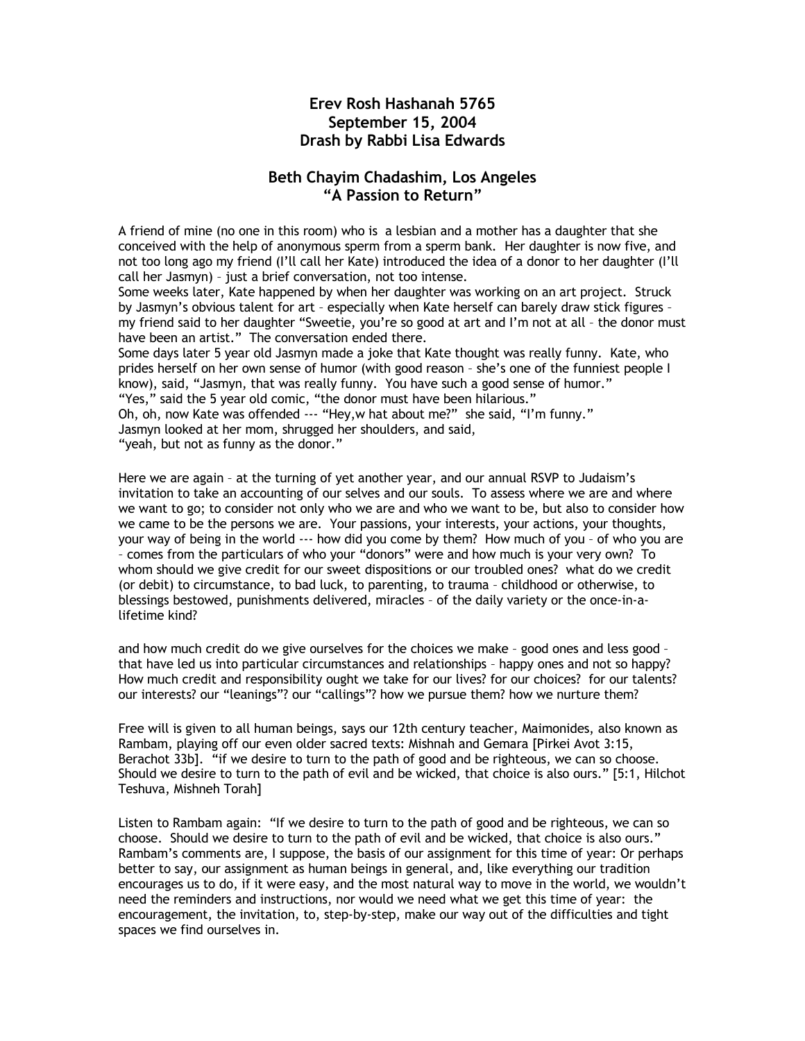## **Erev Rosh Hashanah 5765 September 15, 2004 Drash by Rabbi Lisa Edwards**

## **Beth Chayim Chadashim, Los Angeles "A Passion to Return"**

A friend of mine (no one in this room) who is a lesbian and a mother has a daughter that she conceived with the help of anonymous sperm from a sperm bank. Her daughter is now five, and not too long ago my friend (I'll call her Kate) introduced the idea of a donor to her daughter (I'll call her Jasmyn) – just a brief conversation, not too intense.

Some weeks later, Kate happened by when her daughter was working on an art project. Struck by Jasmyn's obvious talent for art – especially when Kate herself can barely draw stick figures – my friend said to her daughter "Sweetie, you're so good at art and I'm not at all – the donor must have been an artist." The conversation ended there.

Some days later 5 year old Jasmyn made a joke that Kate thought was really funny. Kate, who prides herself on her own sense of humor (with good reason – she's one of the funniest people I know), said, "Jasmyn, that was really funny. You have such a good sense of humor." "Yes," said the 5 year old comic, "the donor must have been hilarious."

Oh, oh, now Kate was offended --- "Hey,w hat about me?" she said, "I'm funny." Jasmyn looked at her mom, shrugged her shoulders, and said,

"yeah, but not as funny as the donor."

Here we are again – at the turning of yet another year, and our annual RSVP to Judaism's invitation to take an accounting of our selves and our souls. To assess where we are and where we want to go; to consider not only who we are and who we want to be, but also to consider how we came to be the persons we are. Your passions, your interests, your actions, your thoughts, your way of being in the world --- how did you come by them? How much of you – of who you are – comes from the particulars of who your "donors" were and how much is your very own? To whom should we give credit for our sweet dispositions or our troubled ones? what do we credit (or debit) to circumstance, to bad luck, to parenting, to trauma – childhood or otherwise, to blessings bestowed, punishments delivered, miracles – of the daily variety or the once-in-alifetime kind?

and how much credit do we give ourselves for the choices we make – good ones and less good – that have led us into particular circumstances and relationships – happy ones and not so happy? How much credit and responsibility ought we take for our lives? for our choices? for our talents? our interests? our "leanings"? our "callings"? how we pursue them? how we nurture them?

Free will is given to all human beings, says our 12th century teacher, Maimonides, also known as Rambam, playing off our even older sacred texts: Mishnah and Gemara [Pirkei Avot 3:15, Berachot 33b]. "if we desire to turn to the path of good and be righteous, we can so choose. Should we desire to turn to the path of evil and be wicked, that choice is also ours." [5:1, Hilchot Teshuva, Mishneh Torah]

Listen to Rambam again: "If we desire to turn to the path of good and be righteous, we can so choose. Should we desire to turn to the path of evil and be wicked, that choice is also ours." Rambam's comments are, I suppose, the basis of our assignment for this time of year: Or perhaps better to say, our assignment as human beings in general, and, like everything our tradition encourages us to do, if it were easy, and the most natural way to move in the world, we wouldn't need the reminders and instructions, nor would we need what we get this time of year: the encouragement, the invitation, to, step-by-step, make our way out of the difficulties and tight spaces we find ourselves in.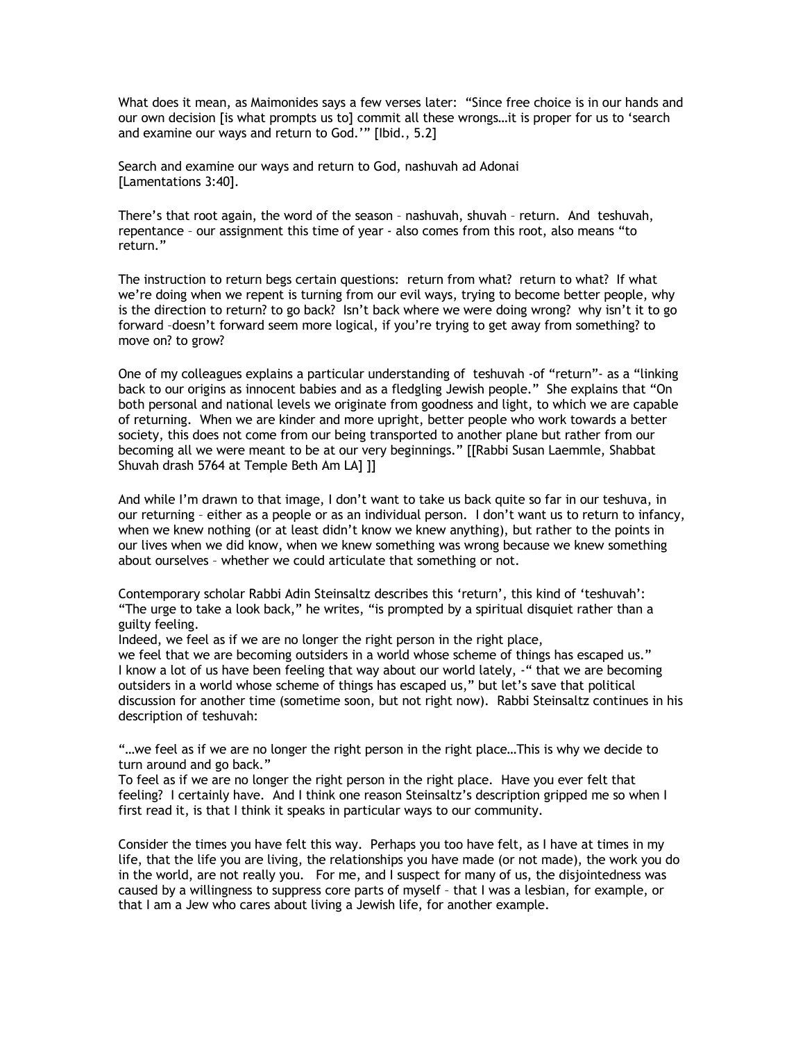What does it mean, as Maimonides says a few verses later: "Since free choice is in our hands and our own decision [is what prompts us to] commit all these wrongs…it is proper for us to 'search and examine our ways and return to God.'" [Ibid., 5.2]

Search and examine our ways and return to God, nashuvah ad Adonai [Lamentations 3:40].

There's that root again, the word of the season – nashuvah, shuvah – return. And teshuvah, repentance – our assignment this time of year - also comes from this root, also means "to return."

The instruction to return begs certain questions: return from what? return to what? If what we're doing when we repent is turning from our evil ways, trying to become better people, why is the direction to return? to go back? Isn't back where we were doing wrong? why isn't it to go forward –doesn't forward seem more logical, if you're trying to get away from something? to move on? to grow?

One of my colleagues explains a particular understanding of teshuvah -of "return"- as a "linking back to our origins as innocent babies and as a fledgling Jewish people." She explains that "On both personal and national levels we originate from goodness and light, to which we are capable of returning. When we are kinder and more upright, better people who work towards a better society, this does not come from our being transported to another plane but rather from our becoming all we were meant to be at our very beginnings." [[Rabbi Susan Laemmle, Shabbat Shuvah drash 5764 at Temple Beth Am LA] ]]

And while I'm drawn to that image, I don't want to take us back quite so far in our teshuva, in our returning – either as a people or as an individual person. I don't want us to return to infancy, when we knew nothing (or at least didn't know we knew anything), but rather to the points in our lives when we did know, when we knew something was wrong because we knew something about ourselves – whether we could articulate that something or not.

Contemporary scholar Rabbi Adin Steinsaltz describes this 'return', this kind of 'teshuvah': "The urge to take a look back," he writes, "is prompted by a spiritual disquiet rather than a guilty feeling.

Indeed, we feel as if we are no longer the right person in the right place,

we feel that we are becoming outsiders in a world whose scheme of things has escaped us." I know a lot of us have been feeling that way about our world lately, -" that we are becoming outsiders in a world whose scheme of things has escaped us," but let's save that political discussion for another time (sometime soon, but not right now). Rabbi Steinsaltz continues in his description of teshuvah:

"…we feel as if we are no longer the right person in the right place…This is why we decide to turn around and go back."

To feel as if we are no longer the right person in the right place. Have you ever felt that feeling? I certainly have. And I think one reason Steinsaltz's description gripped me so when I first read it, is that I think it speaks in particular ways to our community.

Consider the times you have felt this way. Perhaps you too have felt, as I have at times in my life, that the life you are living, the relationships you have made (or not made), the work you do in the world, are not really you. For me, and I suspect for many of us, the disjointedness was caused by a willingness to suppress core parts of myself – that I was a lesbian, for example, or that I am a Jew who cares about living a Jewish life, for another example.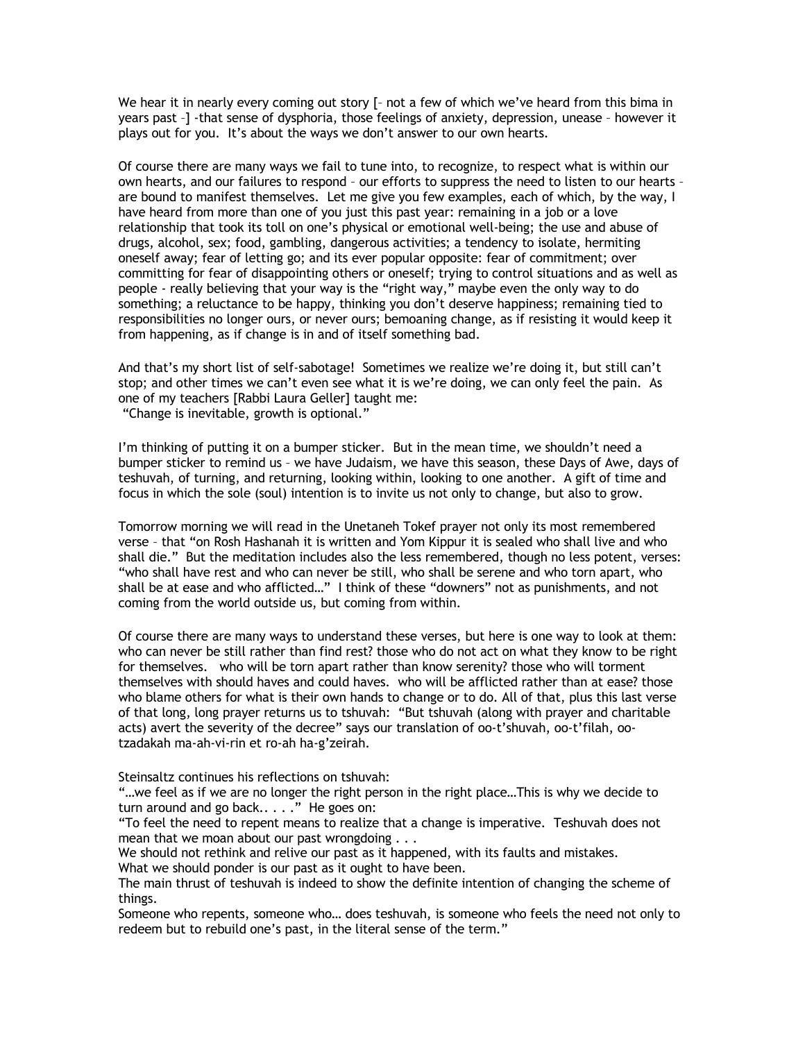We hear it in nearly every coming out story [- not a few of which we've heard from this bima in years past –] -that sense of dysphoria, those feelings of anxiety, depression, unease – however it plays out for you. It's about the ways we don't answer to our own hearts.

Of course there are many ways we fail to tune into, to recognize, to respect what is within our own hearts, and our failures to respond – our efforts to suppress the need to listen to our hearts – are bound to manifest themselves. Let me give you few examples, each of which, by the way, I have heard from more than one of you just this past year: remaining in a job or a love relationship that took its toll on one's physical or emotional well-being; the use and abuse of drugs, alcohol, sex; food, gambling, dangerous activities; a tendency to isolate, hermiting oneself away; fear of letting go; and its ever popular opposite: fear of commitment; over committing for fear of disappointing others or oneself; trying to control situations and as well as people - really believing that your way is the "right way," maybe even the only way to do something; a reluctance to be happy, thinking you don't deserve happiness; remaining tied to responsibilities no longer ours, or never ours; bemoaning change, as if resisting it would keep it from happening, as if change is in and of itself something bad.

And that's my short list of self-sabotage! Sometimes we realize we're doing it, but still can't stop; and other times we can't even see what it is we're doing, we can only feel the pain. As one of my teachers [Rabbi Laura Geller] taught me:

"Change is inevitable, growth is optional."

I'm thinking of putting it on a bumper sticker. But in the mean time, we shouldn't need a bumper sticker to remind us – we have Judaism, we have this season, these Days of Awe, days of teshuvah, of turning, and returning, looking within, looking to one another. A gift of time and focus in which the sole (soul) intention is to invite us not only to change, but also to grow.

Tomorrow morning we will read in the Unetaneh Tokef prayer not only its most remembered verse – that "on Rosh Hashanah it is written and Yom Kippur it is sealed who shall live and who shall die." But the meditation includes also the less remembered, though no less potent, verses: "who shall have rest and who can never be still, who shall be serene and who torn apart, who shall be at ease and who afflicted…" I think of these "downers" not as punishments, and not coming from the world outside us, but coming from within.

Of course there are many ways to understand these verses, but here is one way to look at them: who can never be still rather than find rest? those who do not act on what they know to be right for themselves. who will be torn apart rather than know serenity? those who will torment themselves with should haves and could haves. who will be afflicted rather than at ease? those who blame others for what is their own hands to change or to do. All of that, plus this last verse of that long, long prayer returns us to tshuvah: "But tshuvah (along with prayer and charitable acts) avert the severity of the decree" says our translation of oo-t'shuvah, oo-t'filah, ootzadakah ma-ah-vi-rin et ro-ah ha-g'zeirah.

Steinsaltz continues his reflections on tshuvah:

"…we feel as if we are no longer the right person in the right place…This is why we decide to turn around and go back.. . . ." He goes on:

"To feel the need to repent means to realize that a change is imperative. Teshuvah does not mean that we moan about our past wrongdoing . . .

We should not rethink and relive our past as it happened, with its faults and mistakes. What we should ponder is our past as it ought to have been.

The main thrust of teshuvah is indeed to show the definite intention of changing the scheme of things.

Someone who repents, someone who… does teshuvah, is someone who feels the need not only to redeem but to rebuild one's past, in the literal sense of the term."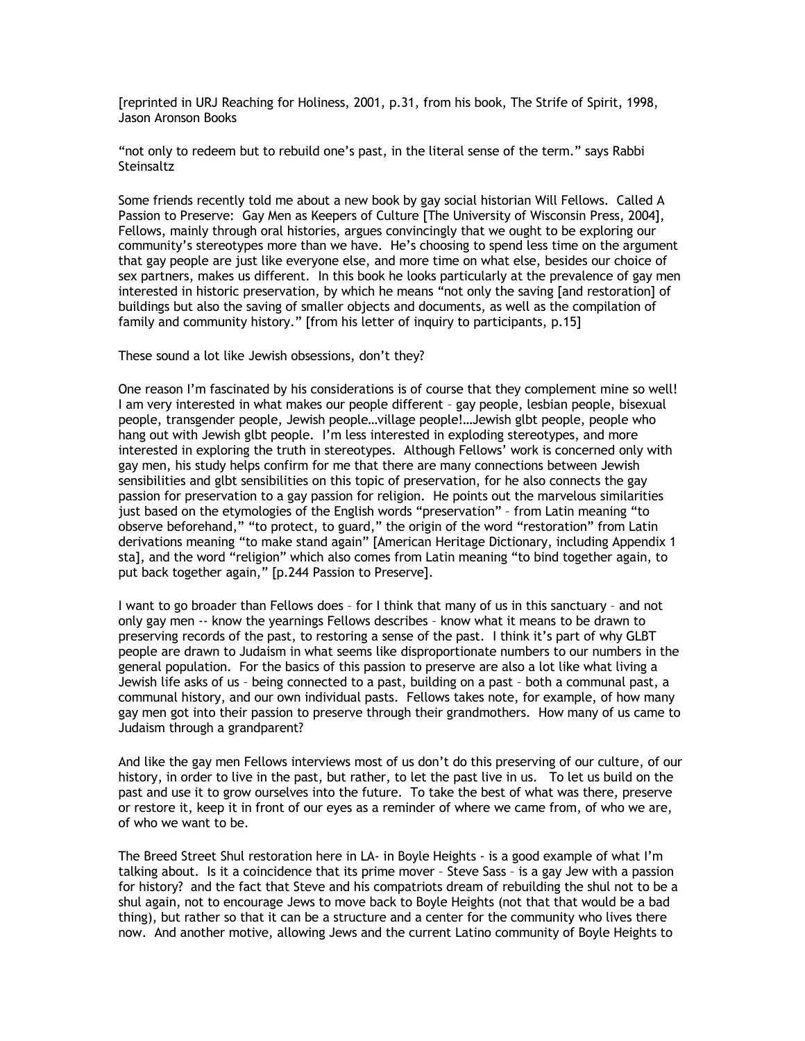[reprinted in URJ Reaching for Holiness, 2001, p.31, from his book, The Strife of Spirit, 1998, Jason Aronson Books

"not only to redeem but to rebuild one's past, in the literal sense of the term." says Rabbi Steinsaltz

Some friends recently told me about a new book by gay social historian Will Fellows. Called A Passion to Preserve: Gay Men as Keepers of Culture [The University of Wisconsin Press, 2004], Fellows, mainly through oral histories, argues convincingly that we ought to be exploring our community's stereotypes more than we have. He's choosing to spend less time on the argument that gay people are just like everyone else, and more time on what else, besides our choice of sex partners, makes us different. In this book he looks particularly at the prevalence of gay men interested in historic preservation, by which he means "not only the saving [and restoration] of buildings but also the saving of smaller objects and documents, as well as the compilation of family and community history." [from his letter of inquiry to participants, p.15]

These sound a lot like Jewish obsessions, don't they?

One reason I'm fascinated by his considerations is of course that they complement mine so well! I am very interested in what makes our people different – gay people, lesbian people, bisexual people, transgender people, Jewish people…village people!…Jewish glbt people, people who hang out with Jewish glbt people. I'm less interested in exploding stereotypes, and more interested in exploring the truth in stereotypes. Although Fellows' work is concerned only with gay men, his study helps confirm for me that there are many connections between Jewish sensibilities and glbt sensibilities on this topic of preservation, for he also connects the gay passion for preservation to a gay passion for religion. He points out the marvelous similarities just based on the etymologies of the English words "preservation" – from Latin meaning "to observe beforehand," "to protect, to guard," the origin of the word "restoration" from Latin derivations meaning "to make stand again" [American Heritage Dictionary, including Appendix 1 sta], and the word "religion" which also comes from Latin meaning "to bind together again, to put back together again," [p.244 Passion to Preserve].

I want to go broader than Fellows does – for I think that many of us in this sanctuary – and not only gay men -- know the yearnings Fellows describes – know what it means to be drawn to preserving records of the past, to restoring a sense of the past. I think it's part of why GLBT people are drawn to Judaism in what seems like disproportionate numbers to our numbers in the general population. For the basics of this passion to preserve are also a lot like what living a Jewish life asks of us – being connected to a past, building on a past – both a communal past, a communal history, and our own individual pasts. Fellows takes note, for example, of how many gay men got into their passion to preserve through their grandmothers. How many of us came to Judaism through a grandparent?

And like the gay men Fellows interviews most of us don't do this preserving of our culture, of our history, in order to live in the past, but rather, to let the past live in us. To let us build on the past and use it to grow ourselves into the future. To take the best of what was there, preserve or restore it, keep it in front of our eyes as a reminder of where we came from, of who we are, of who we want to be.

The Breed Street Shul restoration here in LA- in Boyle Heights - is a good example of what I'm talking about. Is it a coincidence that its prime mover – Steve Sass – is a gay Jew with a passion for history? and the fact that Steve and his compatriots dream of rebuilding the shul not to be a shul again, not to encourage Jews to move back to Boyle Heights (not that that would be a bad thing), but rather so that it can be a structure and a center for the community who lives there now. And another motive, allowing Jews and the current Latino community of Boyle Heights to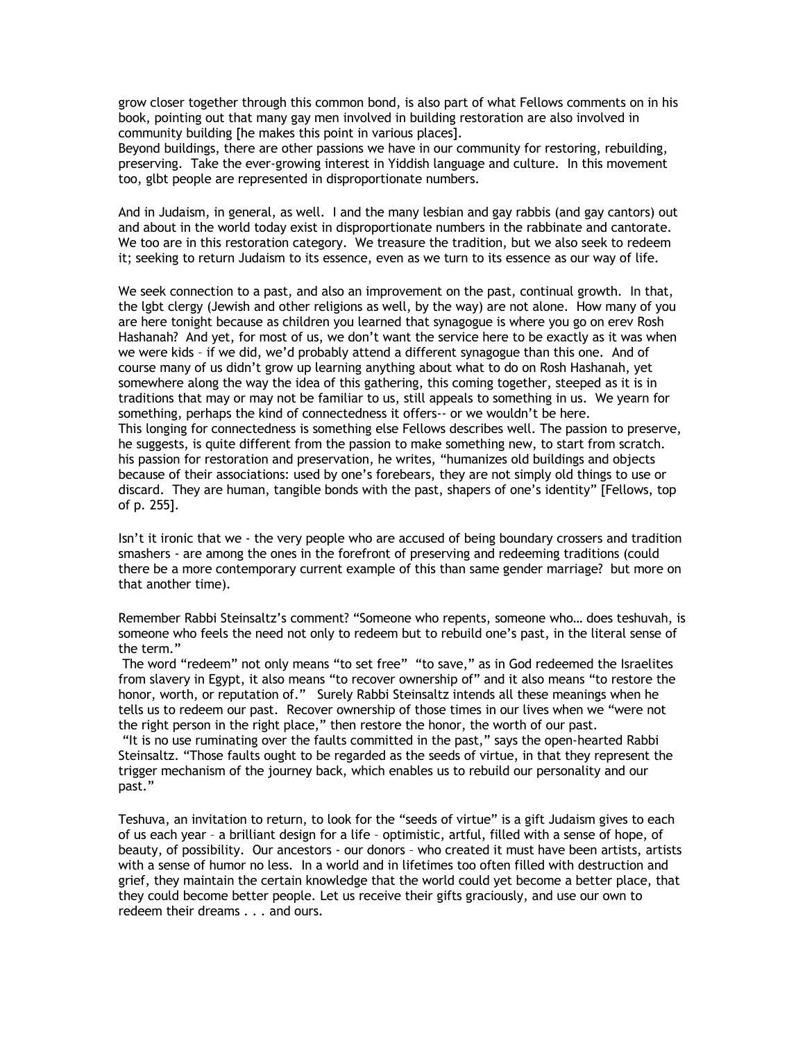grow closer together through this common bond, is also part of what Fellows comments on in his book, pointing out that many gay men involved in building restoration are also involved in community building [he makes this point in various places].

Beyond buildings, there are other passions we have in our community for restoring, rebuilding, preserving. Take the ever-growing interest in Yiddish language and culture. In this movement too, glbt people are represented in disproportionate numbers.

And in Judaism, in general, as well. I and the many lesbian and gay rabbis (and gay cantors) out and about in the world today exist in disproportionate numbers in the rabbinate and cantorate. We too are in this restoration category. We treasure the tradition, but we also seek to redeem it; seeking to return Judaism to its essence, even as we turn to its essence as our way of life.

We seek connection to a past, and also an improvement on the past, continual growth. In that, the lgbt clergy (Jewish and other religions as well, by the way) are not alone. How many of you are here tonight because as children you learned that synagogue is where you go on erev Rosh Hashanah? And yet, for most of us, we don't want the service here to be exactly as it was when we were kids – if we did, we'd probably attend a different synagogue than this one. And of course many of us didn't grow up learning anything about what to do on Rosh Hashanah, yet somewhere along the way the idea of this gathering, this coming together, steeped as it is in traditions that may or may not be familiar to us, still appeals to something in us. We yearn for something, perhaps the kind of connectedness it offers-- or we wouldn't be here. This longing for connectedness is something else Fellows describes well. The passion to preserve, he suggests, is quite different from the passion to make something new, to start from scratch. his passion for restoration and preservation, he writes, "humanizes old buildings and objects because of their associations: used by one's forebears, they are not simply old things to use or discard. They are human, tangible bonds with the past, shapers of one's identity" [Fellows, top of p. 255].

Isn't it ironic that we - the very people who are accused of being boundary crossers and tradition smashers - are among the ones in the forefront of preserving and redeeming traditions (could there be a more contemporary current example of this than same gender marriage? but more on that another time).

Remember Rabbi Steinsaltz's comment? "Someone who repents, someone who… does teshuvah, is someone who feels the need not only to redeem but to rebuild one's past, in the literal sense of the term."

The word "redeem" not only means "to set free" "to save," as in God redeemed the Israelites from slavery in Egypt, it also means "to recover ownership of" and it also means "to restore the honor, worth, or reputation of." Surely Rabbi Steinsaltz intends all these meanings when he tells us to redeem our past. Recover ownership of those times in our lives when we "were not the right person in the right place," then restore the honor, the worth of our past.

"It is no use ruminating over the faults committed in the past," says the open-hearted Rabbi Steinsaltz. "Those faults ought to be regarded as the seeds of virtue, in that they represent the trigger mechanism of the journey back, which enables us to rebuild our personality and our past."

Teshuva, an invitation to return, to look for the "seeds of virtue" is a gift Judaism gives to each of us each year – a brilliant design for a life – optimistic, artful, filled with a sense of hope, of beauty, of possibility. Our ancestors - our donors – who created it must have been artists, artists with a sense of humor no less. In a world and in lifetimes too often filled with destruction and grief, they maintain the certain knowledge that the world could yet become a better place, that they could become better people. Let us receive their gifts graciously, and use our own to redeem their dreams . . . and ours.